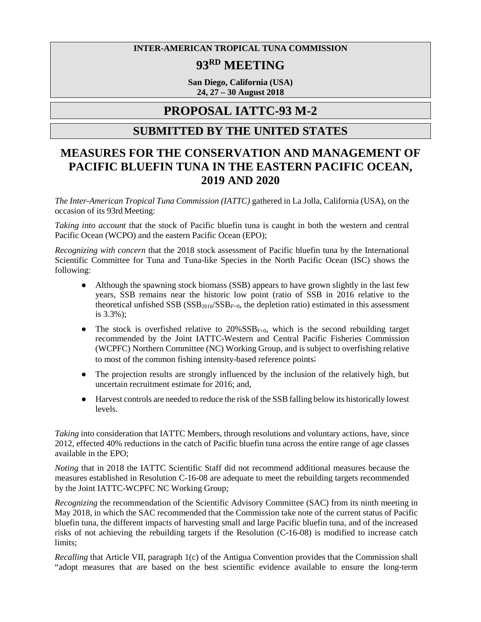#### **INTER-AMERICAN TROPICAL TUNA COMMISSION**

# **93RD MEETING**

**San Diego, California (USA) 24, 27 – 30 August 2018**

## **PROPOSAL IATTC-93 M-2**

### **SUBMITTED BY THE UNITED STATES**

# **MEASURES FOR THE CONSERVATION AND MANAGEMENT OF PACIFIC BLUEFIN TUNA IN THE EASTERN PACIFIC OCEAN, 2019 AND 2020**

*The Inter-American Tropical Tuna Commission (IATTC)* gathered in La Jolla, California (USA), on the occasion of its 93rd Meeting:

*Taking into account* that the stock of Pacific bluefin tuna is caught in both the western and central Pacific Ocean (WCPO) and the eastern Pacific Ocean (EPO);

*Recognizing with concern* that the 2018 stock assessment of Pacific bluefin tuna by the International Scientific Committee for Tuna and Tuna-like Species in the North Pacific Ocean (ISC) shows the following:

- Although the spawning stock biomass (SSB) appears to have grown slightly in the last few years, SSB remains near the historic low point (ratio of SSB in 2016 relative to the theoretical unfished SSB ( $SSB_{2016}/SSB_{F=0}$ , the depletion ratio) estimated in this assessment is 3.3%);
- The stock is overfished relative to  $20\% SSB_{F=0}$ , which is the second rebuilding target recommended by the Joint IATTC-Western and Central Pacific Fisheries Commission (WCPFC) Northern Committee (NC) Working Group, and is subject to overfishing relative to most of the common fishing intensity-based reference points;
- The projection results are strongly influenced by the inclusion of the relatively high, but uncertain recruitment estimate for 2016; and,
- Harvest controls are needed to reduce the risk of the SSB falling below its historically lowest levels.

*Taking* into consideration that IATTC Members, through resolutions and voluntary actions, have, since 2012, effected 40% reductions in the catch of Pacific bluefin tuna across the entire range of age classes available in the EPO;

*Noting* that in 2018 the IATTC Scientific Staff did not recommend additional measures because the measures established in Resolution C-16-08 are adequate to meet the rebuilding targets recommended by the Joint IATTC-WCPFC NC Working Group;

*Recognizing* the recommendation of the Scientific Advisory Committee (SAC) from its ninth meeting in May 2018, in which the SAC recommended that the Commission take note of the current status of Pacific bluefin tuna, the different impacts of harvesting small and large Pacific bluefin tuna, and of the increased risks of not achieving the rebuilding targets if the Resolution (C-16-08) is modified to increase catch limits;

*Recalling* that Article VII, paragraph 1(c) of the Antigua Convention provides that the Commission shall "adopt measures that are based on the best scientific evidence available to ensure the long-term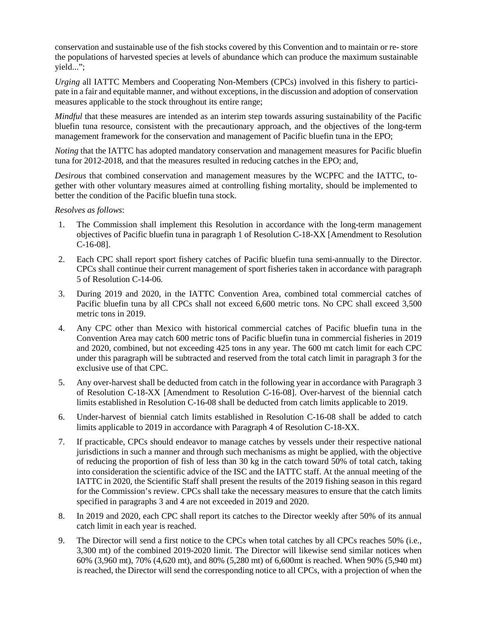conservation and sustainable use of the fish stocks covered by this Convention and to maintain or re- store the populations of harvested species at levels of abundance which can produce the maximum sustainable yield...";

*Urging* all IATTC Members and Cooperating Non-Members (CPCs) involved in this fishery to participate in a fair and equitable manner, and without exceptions, in the discussion and adoption of conservation measures applicable to the stock throughout its entire range;

*Mindful* that these measures are intended as an interim step towards assuring sustainability of the Pacific bluefin tuna resource, consistent with the precautionary approach, and the objectives of the long-term management framework for the conservation and management of Pacific bluefin tuna in the EPO;

*Noting* that the IATTC has adopted mandatory conservation and management measures for Pacific bluefin tuna for 2012-2018, and that the measures resulted in reducing catches in the EPO; and,

*Desirous* that combined conservation and management measures by the WCPFC and the IATTC, together with other voluntary measures aimed at controlling fishing mortality, should be implemented to better the condition of the Pacific bluefin tuna stock.

*Resolves as follows*:

- 1. The Commission shall implement this Resolution in accordance with the long-term management objectives of Pacific bluefin tuna in paragraph 1 of Resolution C-18-XX [Amendment to Resolution C-16-08].
- 2. Each CPC shall report sport fishery catches of Pacific bluefin tuna semi-annually to the Director. CPCs shall continue their current management of sport fisheries taken in accordance with paragraph 5 of Resolution C-14-06.
- 3. During 2019 and 2020, in the IATTC Convention Area, combined total commercial catches of Pacific bluefin tuna by all CPCs shall not exceed 6,600 metric tons. No CPC shall exceed 3,500 metric tons in 2019.
- 4. Any CPC other than Mexico with historical commercial catches of Pacific bluefin tuna in the Convention Area may catch 600 metric tons of Pacific bluefin tuna in commercial fisheries in 2019 and 2020, combined, but not exceeding 425 tons in any year. The 600 mt catch limit for each CPC under this paragraph will be subtracted and reserved from the total catch limit in paragraph 3 for the exclusive use of that CPC.
- 5. Any over-harvest shall be deducted from catch in the following year in accordance with Paragraph 3 of Resolution C-18-XX [Amendment to Resolution C-16-08]. Over-harvest of the biennial catch limits established in Resolution C-16-08 shall be deducted from catch limits applicable to 2019.
- 6. Under-harvest of biennial catch limits established in Resolution C-16-08 shall be added to catch limits applicable to 2019 in accordance with Paragraph 4 of Resolution C-18-XX.
- 7. If practicable, CPCs should endeavor to manage catches by vessels under their respective national jurisdictions in such a manner and through such mechanisms as might be applied, with the objective of reducing the proportion of fish of less than 30 kg in the catch toward 50% of total catch, taking into consideration the scientific advice of the ISC and the IATTC staff. At the annual meeting of the IATTC in 2020, the Scientific Staff shall present the results of the 2019 fishing season in this regard for the Commission's review. CPCs shall take the necessary measures to ensure that the catch limits specified in paragraphs 3 and 4 are not exceeded in 2019 and 2020.
- 8. In 2019 and 2020, each CPC shall report its catches to the Director weekly after 50% of its annual catch limit in each year is reached.
- 9. The Director will send a first notice to the CPCs when total catches by all CPCs reaches 50% (i.e., 3,300 mt) of the combined 2019-2020 limit. The Director will likewise send similar notices when 60% (3,960 mt), 70% (4,620 mt), and 80% (5,280 mt) of 6,600mt is reached. When 90% (5,940 mt) is reached, the Director will send the corresponding notice to all CPCs, with a projection of when the